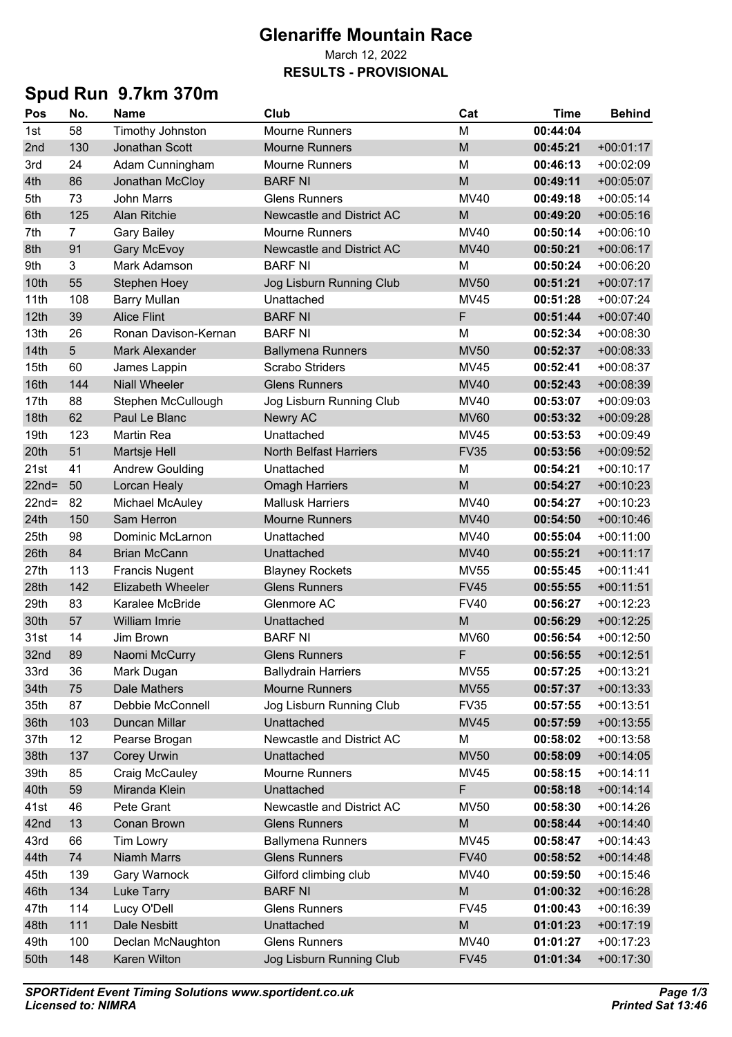### **Glenariffe Mountain Race**

#### March 12, 2022 **RESULTS - PROVISIONAL**

# **Spud Run 9.7km 370m**

| Pos      | No. | <b>Name</b>            | Club                          | Cat         | Time     | <b>Behind</b> |
|----------|-----|------------------------|-------------------------------|-------------|----------|---------------|
| 1st      | 58  | Timothy Johnston       | <b>Mourne Runners</b>         | M           | 00:44:04 |               |
| 2nd      | 130 | Jonathan Scott         | <b>Mourne Runners</b>         | M           | 00:45:21 | $+00:01:17$   |
| 3rd      | 24  | Adam Cunningham        | <b>Mourne Runners</b>         | М           | 00:46:13 | $+00:02:09$   |
| 4th      | 86  | Jonathan McCloy        | <b>BARF NI</b>                | M           | 00:49:11 | $+00:05:07$   |
| 5th      | 73  | <b>John Marrs</b>      | <b>Glens Runners</b>          | MV40        | 00:49:18 | $+00:05:14$   |
| 6th      | 125 | <b>Alan Ritchie</b>    | Newcastle and District AC     | M           | 00:49:20 | $+00:05:16$   |
| 7th      | 7   | <b>Gary Bailey</b>     | <b>Mourne Runners</b>         | <b>MV40</b> | 00:50:14 | $+00:06:10$   |
| 8th      | 91  | <b>Gary McEvoy</b>     | Newcastle and District AC     | <b>MV40</b> | 00:50:21 | $+00:06:17$   |
| 9th      | 3   | Mark Adamson           | <b>BARF NI</b>                | M           | 00:50:24 | $+00:06:20$   |
| 10th     | 55  | <b>Stephen Hoey</b>    | Jog Lisburn Running Club      | <b>MV50</b> | 00:51:21 | $+00:07:17$   |
| 11th     | 108 | <b>Barry Mullan</b>    | Unattached                    | <b>MV45</b> | 00:51:28 | $+00:07:24$   |
| 12th     | 39  | <b>Alice Flint</b>     | <b>BARF NI</b>                | F           | 00:51:44 | $+00:07:40$   |
| 13th     | 26  | Ronan Davison-Kernan   | <b>BARF NI</b>                | М           | 00:52:34 | $+00:08:30$   |
| 14th     | 5   | <b>Mark Alexander</b>  | <b>Ballymena Runners</b>      | <b>MV50</b> | 00:52:37 | $+00:08:33$   |
| 15th     | 60  | James Lappin           | <b>Scrabo Striders</b>        | MV45        | 00:52:41 | $+00:08:37$   |
| 16th     | 144 | <b>Niall Wheeler</b>   | <b>Glens Runners</b>          | <b>MV40</b> | 00:52:43 | $+00:08:39$   |
| 17th     | 88  | Stephen McCullough     | Jog Lisburn Running Club      | MV40        | 00:53:07 | $+00:09:03$   |
| 18th     | 62  | Paul Le Blanc          | <b>Newry AC</b>               | <b>MV60</b> | 00:53:32 | $+00:09:28$   |
| 19th     | 123 | Martin Rea             | Unattached                    | MV45        | 00:53:53 | $+00:09:49$   |
| 20th     | 51  | Martsje Hell           | <b>North Belfast Harriers</b> | <b>FV35</b> | 00:53:56 | $+00:09:52$   |
| 21st     | 41  | <b>Andrew Goulding</b> | Unattached                    | M           | 00:54:21 | $+00:10:17$   |
| $22nd =$ | 50  | Lorcan Healy           | <b>Omagh Harriers</b>         | M           | 00:54:27 | $+00:10:23$   |
| $22nd =$ | 82  | Michael McAuley        | <b>Mallusk Harriers</b>       | <b>MV40</b> | 00:54:27 | $+00:10:23$   |
| 24th     | 150 | Sam Herron             | <b>Mourne Runners</b>         | <b>MV40</b> | 00:54:50 | $+00:10:46$   |
| 25th     | 98  | Dominic McLarnon       | Unattached                    | <b>MV40</b> | 00:55:04 | $+00:11:00$   |
| 26th     | 84  | <b>Brian McCann</b>    | Unattached                    | <b>MV40</b> | 00:55:21 | $+00:11:17$   |
| 27th     | 113 | <b>Francis Nugent</b>  | <b>Blayney Rockets</b>        | <b>MV55</b> | 00:55:45 | $+00:11:41$   |
| 28th     | 142 | Elizabeth Wheeler      | <b>Glens Runners</b>          | <b>FV45</b> | 00:55:55 | $+00:11:51$   |
| 29th     | 83  | Karalee McBride        | Glenmore AC                   | <b>FV40</b> | 00:56:27 | $+00:12:23$   |
| 30th     | 57  | William Imrie          | Unattached                    | M           | 00:56:29 | $+00:12:25$   |
| 31st     | 14  | Jim Brown              | <b>BARF NI</b>                | <b>MV60</b> | 00:56:54 | $+00:12:50$   |
| 32nd     | 89  | Naomi McCurry          | <b>Glens Runners</b>          | F           | 00:56:55 | $+00:12:51$   |
| 33rd     | 36  | Mark Dugan             | <b>Ballydrain Harriers</b>    | <b>MV55</b> | 00:57:25 | $+00:13:21$   |
| 34th     | 75  | Dale Mathers           | <b>Mourne Runners</b>         | <b>MV55</b> | 00:57:37 | $+00:13:33$   |
| 35th     | 87  | Debbie McConnell       | Jog Lisburn Running Club      | <b>FV35</b> | 00:57:55 | $+00:13:51$   |
| 36th     | 103 | Duncan Millar          | Unattached                    | <b>MV45</b> | 00:57:59 | $+00:13:55$   |
| 37th     | 12  | Pearse Brogan          | Newcastle and District AC     | М           | 00:58:02 | $+00:13:58$   |
| 38th     | 137 | Corey Urwin            | Unattached                    | <b>MV50</b> | 00:58:09 | $+00:14:05$   |
| 39th     | 85  | Craig McCauley         | <b>Mourne Runners</b>         | <b>MV45</b> | 00:58:15 | $+00:14:11$   |
| 40th     | 59  | Miranda Klein          | Unattached                    | F           | 00:58:18 | $+00:14:14$   |
| 41st     | 46  | Pete Grant             | Newcastle and District AC     | <b>MV50</b> | 00:58:30 | $+00:14:26$   |
| 42nd     | 13  | Conan Brown            | <b>Glens Runners</b>          | M           | 00:58:44 | $+00:14:40$   |
| 43rd     | 66  | <b>Tim Lowry</b>       | <b>Ballymena Runners</b>      | MV45        | 00:58:47 | $+00:14:43$   |
| 44th     | 74  | Niamh Marrs            | <b>Glens Runners</b>          | <b>FV40</b> | 00:58:52 | $+00:14:48$   |
| 45th     | 139 | Gary Warnock           | Gilford climbing club         | MV40        | 00:59:50 | $+00:15:46$   |
| 46th     | 134 | <b>Luke Tarry</b>      | <b>BARF NI</b>                | M           | 01:00:32 | $+00:16:28$   |
| 47th     | 114 | Lucy O'Dell            | <b>Glens Runners</b>          | <b>FV45</b> | 01:00:43 | $+00:16:39$   |
| 48th     | 111 | Dale Nesbitt           | Unattached                    | M           | 01:01:23 | $+00:17:19$   |
| 49th     | 100 | Declan McNaughton      | <b>Glens Runners</b>          | <b>MV40</b> | 01:01:27 | $+00:17:23$   |
| 50th     | 148 | Karen Wilton           | Jog Lisburn Running Club      | <b>FV45</b> | 01:01:34 | $+00:17:30$   |
|          |     |                        |                               |             |          |               |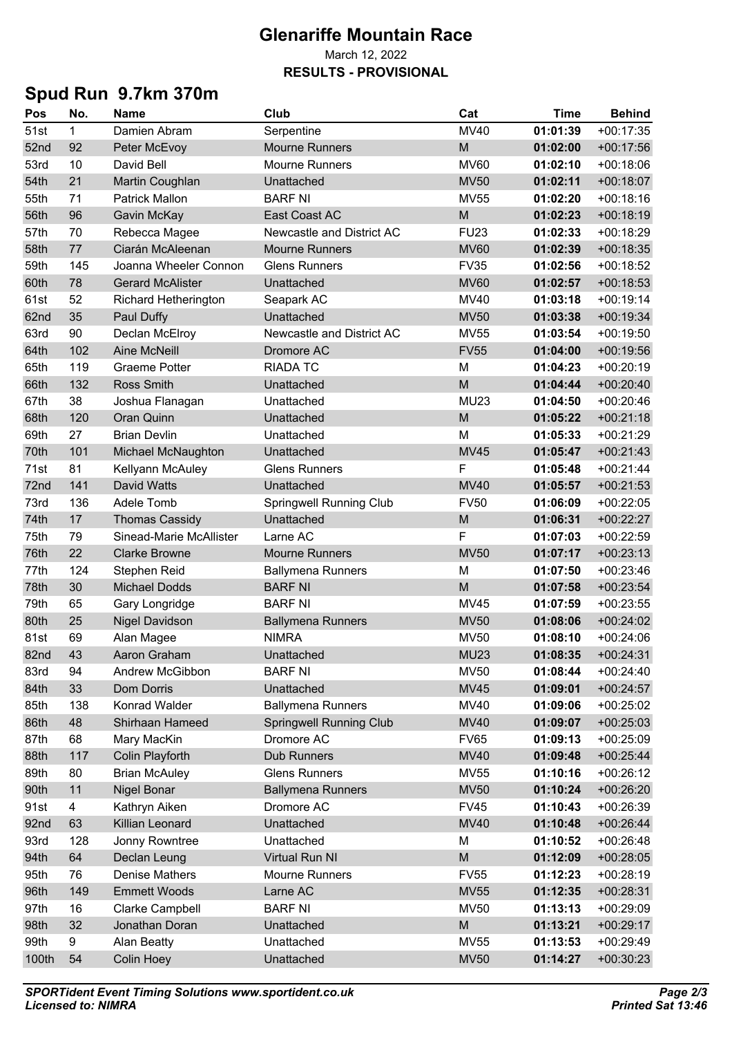### **Glenariffe Mountain Race**

#### March 12, 2022 **RESULTS - PROVISIONAL**

# **Spud Run 9.7km 370m**

| Pos   | No. | <b>Name</b>                 | Club                             | Cat         | Time     | <b>Behind</b> |
|-------|-----|-----------------------------|----------------------------------|-------------|----------|---------------|
| 51st  | 1   | Damien Abram                | Serpentine                       | <b>MV40</b> | 01:01:39 | $+00:17:35$   |
| 52nd  | 92  | Peter McEvoy                | <b>Mourne Runners</b>            | M           | 01:02:00 | $+00:17:56$   |
| 53rd  | 10  | David Bell                  | <b>Mourne Runners</b>            | <b>MV60</b> | 01:02:10 | $+00:18:06$   |
| 54th  | 21  | Martin Coughlan             | Unattached                       | <b>MV50</b> | 01:02:11 | $+00:18:07$   |
| 55th  | 71  | <b>Patrick Mallon</b>       | <b>BARF NI</b>                   | <b>MV55</b> | 01:02:20 | $+00:18:16$   |
| 56th  | 96  | Gavin McKay                 | East Coast AC                    | M           | 01:02:23 | $+00:18:19$   |
| 57th  | 70  | Rebecca Magee               | <b>Newcastle and District AC</b> | <b>FU23</b> | 01:02:33 | $+00:18:29$   |
| 58th  | 77  | Ciarán McAleenan            | <b>Mourne Runners</b>            | <b>MV60</b> | 01:02:39 | $+00:18:35$   |
| 59th  | 145 | Joanna Wheeler Connon       | <b>Glens Runners</b>             | <b>FV35</b> | 01:02:56 | $+00:18:52$   |
| 60th  | 78  | <b>Gerard McAlister</b>     | Unattached                       | <b>MV60</b> | 01:02:57 | $+00:18:53$   |
| 61st  | 52  | <b>Richard Hetherington</b> | Seapark AC                       | <b>MV40</b> | 01:03:18 | $+00:19:14$   |
| 62nd  | 35  | Paul Duffy                  | Unattached                       | <b>MV50</b> | 01:03:38 | $+00:19:34$   |
| 63rd  | 90  | Declan McElroy              | <b>Newcastle and District AC</b> | <b>MV55</b> | 01:03:54 | $+00:19:50$   |
| 64th  | 102 | <b>Aine McNeill</b>         | Dromore AC                       | <b>FV55</b> | 01:04:00 | $+00:19:56$   |
| 65th  | 119 | <b>Graeme Potter</b>        | <b>RIADA TC</b>                  | M           | 01:04:23 | $+00:20:19$   |
| 66th  | 132 | <b>Ross Smith</b>           | Unattached                       | M           | 01:04:44 | $+00:20:40$   |
| 67th  | 38  | Joshua Flanagan             | Unattached                       | <b>MU23</b> | 01:04:50 | $+00:20:46$   |
| 68th  | 120 | Oran Quinn                  | Unattached                       | M           | 01:05:22 | $+00:21:18$   |
| 69th  | 27  | <b>Brian Devlin</b>         | Unattached                       | м           | 01:05:33 | $+00:21:29$   |
| 70th  | 101 | Michael McNaughton          | Unattached                       | <b>MV45</b> | 01:05:47 | $+00:21:43$   |
| 71st  | 81  | Kellyann McAuley            | <b>Glens Runners</b>             | F           | 01:05:48 | $+00:21:44$   |
| 72nd  | 141 | David Watts                 | Unattached                       | <b>MV40</b> | 01:05:57 | $+00:21:53$   |
| 73rd  | 136 | Adele Tomb                  | <b>Springwell Running Club</b>   | <b>FV50</b> | 01:06:09 | $+00:22:05$   |
| 74th  | 17  | <b>Thomas Cassidy</b>       | Unattached                       | M           | 01:06:31 | $+00:22:27$   |
| 75th  | 79  | Sinead-Marie McAllister     | Larne AC                         | F           | 01:07:03 | $+00:22:59$   |
| 76th  | 22  | <b>Clarke Browne</b>        | <b>Mourne Runners</b>            | <b>MV50</b> | 01:07:17 | $+00:23:13$   |
| 77th  | 124 | Stephen Reid                | <b>Ballymena Runners</b>         | М           | 01:07:50 | $+00:23:46$   |
| 78th  | 30  | <b>Michael Dodds</b>        | <b>BARF NI</b>                   | M           | 01:07:58 | $+00:23:54$   |
| 79th  | 65  | Gary Longridge              | <b>BARF NI</b>                   | MV45        | 01:07:59 | $+00:23:55$   |
| 80th  | 25  | <b>Nigel Davidson</b>       | <b>Ballymena Runners</b>         | <b>MV50</b> | 01:08:06 | $+00:24:02$   |
| 81st  | 69  | Alan Magee                  | <b>NIMRA</b>                     | <b>MV50</b> | 01:08:10 | $+00:24:06$   |
| 82nd  | 43  | Aaron Graham                | Unattached                       | <b>MU23</b> | 01:08:35 | $+00:24:31$   |
| 83rd  | 94  | Andrew McGibbon             | <b>BARF NI</b>                   | <b>MV50</b> | 01:08:44 | $+00:24:40$   |
| 84th  | 33  | <b>Dom Dorris</b>           | Unattached                       | <b>MV45</b> | 01:09:01 | $+00:24:57$   |
| 85th  | 138 | Konrad Walder               | <b>Ballymena Runners</b>         | <b>MV40</b> | 01:09:06 | $+00:25:02$   |
| 86th  | 48  | Shirhaan Hameed             | <b>Springwell Running Club</b>   | <b>MV40</b> | 01:09:07 | $+00:25:03$   |
| 87th  | 68  | Mary MacKin                 | Dromore AC                       | <b>FV65</b> | 01:09:13 | $+00:25:09$   |
| 88th  | 117 | <b>Colin Playforth</b>      | <b>Dub Runners</b>               | <b>MV40</b> | 01:09:48 | $+00:25:44$   |
| 89th  | 80  | <b>Brian McAuley</b>        | <b>Glens Runners</b>             | <b>MV55</b> | 01:10:16 | $+00:26:12$   |
| 90th  | 11  | Nigel Bonar                 | <b>Ballymena Runners</b>         | <b>MV50</b> | 01:10:24 | $+00:26:20$   |
| 91st  | 4   | Kathryn Aiken               | Dromore AC                       | <b>FV45</b> | 01:10:43 | $+00:26:39$   |
| 92nd  | 63  | Killian Leonard             | Unattached                       | <b>MV40</b> | 01:10:48 | $+00:26:44$   |
| 93rd  | 128 | Jonny Rowntree              | Unattached                       | М           | 01:10:52 | $+00:26:48$   |
| 94th  | 64  | Declan Leung                | Virtual Run NI                   | M           | 01:12:09 | $+00:28:05$   |
| 95th  | 76  | Denise Mathers              | <b>Mourne Runners</b>            | <b>FV55</b> | 01:12:23 | $+00:28:19$   |
| 96th  | 149 | <b>Emmett Woods</b>         | Larne AC                         | <b>MV55</b> | 01:12:35 | $+00:28:31$   |
| 97th  | 16  | Clarke Campbell             | <b>BARF NI</b>                   | <b>MV50</b> | 01:13:13 | $+00:29:09$   |
| 98th  | 32  | Jonathan Doran              | Unattached                       | M           | 01:13:21 | $+00:29:17$   |
| 99th  | 9   | <b>Alan Beatty</b>          | Unattached                       | <b>MV55</b> | 01:13:53 | $+00:29:49$   |
| 100th | 54  | Colin Hoey                  | Unattached                       | <b>MV50</b> | 01:14:27 | $+00:30:23$   |
|       |     |                             |                                  |             |          |               |